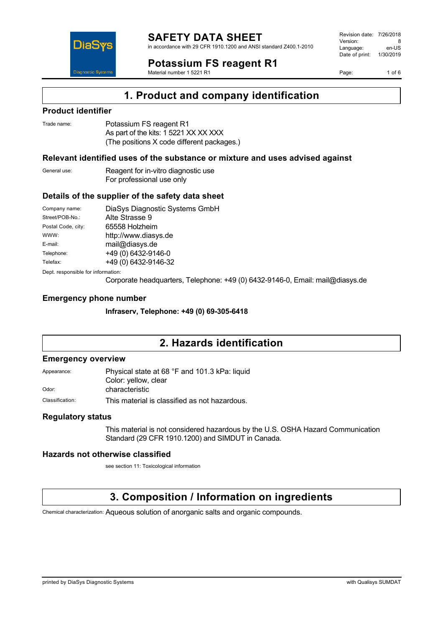

in accordance with 29 CFR 1910.1200 and ANSI standard Z400.1-2010

**Potassium FS reagent R1**

Material number 1 5221 R1

Revision date: 7/26/2018 Version: 8<br>Language: en-LIS Language: Date of print: 1/30/2019

Page: 1 of 6

## **1. Product and company identification**

### **Product identifier**

DiaS

**Diannostic Syster** 

| Trade name: | Potassium FS reagent R1                    |
|-------------|--------------------------------------------|
|             | As part of the kits: 1 5221 XX XX XXX      |
|             | (The positions X code different packages.) |

### **Relevant identified uses of the substance or mixture and uses advised against**

General use: Reagent for in-vitro diagnostic use For professional use only

### **Details of the supplier of the safety data sheet**

| Company name:                      | DiaSys Diagnostic Systems GmbH |  |
|------------------------------------|--------------------------------|--|
| Street/POB-No.:                    | Alte Strasse 9                 |  |
| Postal Code, city:                 | 65558 Holzheim                 |  |
| WWW:                               | http://www.diasys.de           |  |
| E-mail:                            | mail@diasys.de                 |  |
| Telephone:                         | +49 (0) 6432-9146-0            |  |
| Telefax:                           | +49 (0) 6432-9146-32           |  |
| Dept. responsible for information: |                                |  |

Corporate headquarters, Telephone: +49 (0) 6432-9146-0, Email: mail@diasys.de

### **Emergency phone number**

**Infraserv, Telephone: +49 (0) 69-305-6418**

# **2. Hazards identification**

### **Emergency overview**

| Appearance: | Physical state at 68 °F and 101.3 kPa: liquid |
|-------------|-----------------------------------------------|
|             | Color: yellow, clear                          |
| Odor:       | characteristic                                |
|             |                                               |

Classification: This material is classified as not hazardous.

### **Regulatory status**

This material is not considered hazardous by the U.S. OSHA Hazard Communication Standard (29 CFR 1910.1200) and SIMDUT in Canada.

### **Hazards not otherwise classified**

see section 11: Toxicological information

## **3. Composition / Information on ingredients**

Chemical characterization: Aqueous solution of anorganic salts and organic compounds.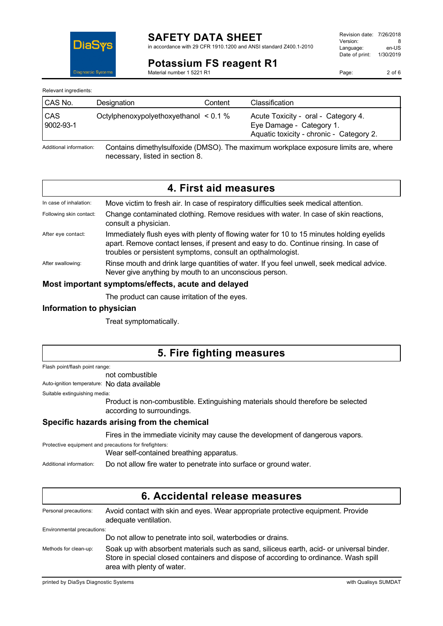

in accordance with 29 CFR 1910.1200 and ANSI standard Z400.1-2010

Revision date: 7/26/2018 Version: 8<br>
Language: en-US Language: Date of print: 1/30/2019

**Potassium FS reagent R1** Material number 1 5221 R1

Page: 2 of 6

Relevant ingredients:

| CAS No.                 | Designation                                | Content | Classification                                                                                              |
|-------------------------|--------------------------------------------|---------|-------------------------------------------------------------------------------------------------------------|
| <b>CAS</b><br>9002-93-1 | Octylphenoxypolyethoxyethanol $\leq 0.1$ % |         | Acute Toxicity - oral - Category 4.<br>Eye Damage - Category 1.<br>Aquatic toxicity - chronic - Category 2. |
|                         |                                            |         |                                                                                                             |

Additional information: Contains dimethylsulfoxide (DMSO). The maximum workplace exposure limits are, where necessary, listed in section 8.

## **4. First aid measures**

| In case of inhalation:  | Move victim to fresh air. In case of respiratory difficulties seek medical attention.                                                                                                                                                            |
|-------------------------|--------------------------------------------------------------------------------------------------------------------------------------------------------------------------------------------------------------------------------------------------|
| Following skin contact: | Change contaminated clothing. Remove residues with water. In case of skin reactions,<br>consult a physician.                                                                                                                                     |
| After eye contact:      | Immediately flush eyes with plenty of flowing water for 10 to 15 minutes holding eyelids<br>apart. Remove contact lenses, if present and easy to do. Continue rinsing. In case of<br>troubles or persistent symptoms, consult an opthalmologist. |
| After swallowing:       | Rinse mouth and drink large quantities of water. If you feel unwell, seek medical advice.<br>Never give anything by mouth to an unconscious person.                                                                                              |

### **Most important symptoms/effects, acute and delayed**

The product can cause irritation of the eyes.

### **Information to physician**

Treat symptomatically.

## **5. Fire fighting measures**

Flash point/flash point range:

not combustible

Auto-ignition temperature: No data available

Suitable extinguishing media:

Product is non-combustible. Extinguishing materials should therefore be selected according to surroundings.

### **Specific hazards arising from the chemical**

Fires in the immediate vicinity may cause the development of dangerous vapors.

Protective equipment and precautions for firefighters:

Wear self-contained breathing apparatus.

Additional information: Do not allow fire water to penetrate into surface or ground water.

| 6. Accidental release measures |                                                                                                                                                                                                                 |  |
|--------------------------------|-----------------------------------------------------------------------------------------------------------------------------------------------------------------------------------------------------------------|--|
| Personal precautions:          | Avoid contact with skin and eyes. Wear appropriate protective equipment. Provide<br>adequate ventilation.                                                                                                       |  |
| Environmental precautions:     |                                                                                                                                                                                                                 |  |
|                                | Do not allow to penetrate into soil, waterbodies or drains.                                                                                                                                                     |  |
| Methods for clean-up:          | Soak up with absorbent materials such as sand, siliceus earth, acid- or universal binder.<br>Store in special closed containers and dispose of according to ordinance. Wash spill<br>area with plenty of water. |  |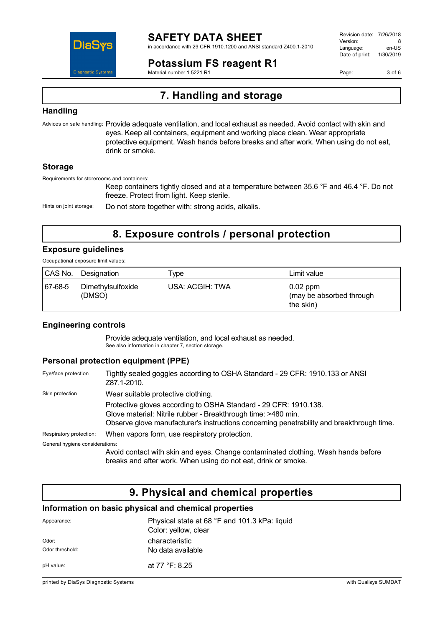

in accordance with 29 CFR 1910.1200 and ANSI standard Z400.1-2010

**Potassium FS reagent R1**

Material number 1 5221 R1

Revision date: 7/26/2018 Version: 8<br>Language: en-LIS Language: Date of print: 1/30/2019

Page: 3 of 6

# **7. Handling and storage**

### **Handling**

Advices on safe handling: Provide adequate ventilation, and local exhaust as needed. Avoid contact with skin and eyes. Keep all containers, equipment and working place clean. Wear appropriate protective equipment. Wash hands before breaks and after work. When using do not eat, drink or smoke.

### **Storage**

Requirements for storerooms and containers:

Keep containers tightly closed and at a temperature between 35.6 °F and 46.4 °F. Do not freeze. Protect from light. Keep sterile.

Hints on joint storage: Do not store together with: strong acids, alkalis.

## **8. Exposure controls / personal protection**

## **Exposure guidelines**

Occupational exposure limit values:

| CAS No. | Designation                 | ype             | Limit value                                         |
|---------|-----------------------------|-----------------|-----------------------------------------------------|
| 67-68-5 | Dimethylsulfoxide<br>(DMSO) | USA: ACGIH: TWA | $0.02$ ppm<br>(may be absorbed through<br>the skin) |

### **Engineering controls**

Provide adequate ventilation, and local exhaust as needed. See also information in chapter 7, section storage.

### **Personal protection equipment (PPE)**

| Eye/face protection             | Tightly sealed goggles according to OSHA Standard - 29 CFR: 1910.133 or ANSI<br>Z87.1-2010.                                                                                                                                    |  |
|---------------------------------|--------------------------------------------------------------------------------------------------------------------------------------------------------------------------------------------------------------------------------|--|
| Skin protection                 | Wear suitable protective clothing.                                                                                                                                                                                             |  |
|                                 | Protective gloves according to OSHA Standard - 29 CFR: 1910.138.<br>Glove material: Nitrile rubber - Breakthrough time: >480 min.<br>Observe glove manufacturer's instructions concerning penetrability and breakthrough time. |  |
| Respiratory protection:         | When vapors form, use respiratory protection.                                                                                                                                                                                  |  |
| General hygiene considerations: |                                                                                                                                                                                                                                |  |
|                                 | Avoid contact with skin and eyes. Change contaminated clothing. Wash hands before<br>breaks and after work. When using do not eat, drink or smoke.                                                                             |  |

## **9. Physical and chemical properties**

### **Information on basic physical and chemical properties**

| Appearance:              | Physical state at 68 °F and 101.3 kPa: liquid<br>Color: yellow, clear |
|--------------------------|-----------------------------------------------------------------------|
| Odor:<br>Odor threshold: | characteristic<br>No data available                                   |
| pH value:                | at 77 °F: 8.25                                                        |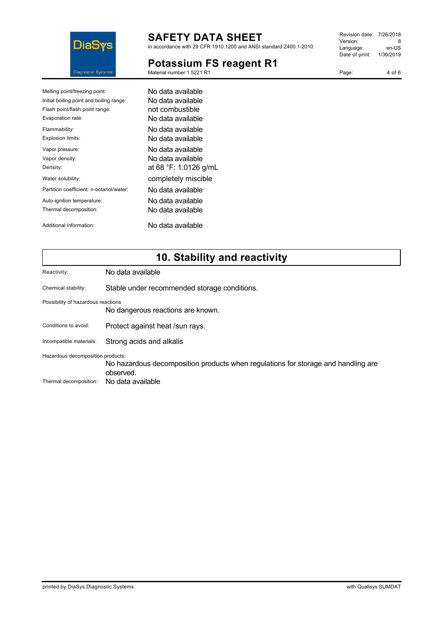

in accordance with 29 CFR 1910.1200 and ANSI standard Z400.1-2010

# **Potassium FS reagent R1**

Material number 1 5221 R1

Revision date: 7/26/2018 Version: 8<br>Language: en-US Language: Date of print: 1/30/2019

Page: 4 of 6

| Melting point/freezing point:            | No data available     |
|------------------------------------------|-----------------------|
| Initial boiling point and boiling range: | No data available     |
| Flash point/flash point range:           | not combustible       |
| Evaporation rate:                        | No data available     |
| Flammability:                            | No data available     |
| Explosion limits:                        | No data available     |
| Vapor pressure:                          | No data available     |
| Vapor density:                           | No data available     |
| Density:                                 | at 68 °F: 1.0126 g/mL |
| Water solubility:                        | completely miscible   |
| Partition coefficient: n-octanol/water:  | No data available     |
| Auto-ignition temperature:               | No data available     |
| Thermal decomposition:                   | No data available     |
| Additional information:                  | No data available     |

# **10. Stability and reactivity**

| Reactivity:                        | No data available                                                                              |  |
|------------------------------------|------------------------------------------------------------------------------------------------|--|
| Chemical stability:                | Stable under recommended storage conditions.                                                   |  |
| Possibility of hazardous reactions | No dangerous reactions are known.                                                              |  |
| Conditions to avoid:               | Protect against heat /sun rays.                                                                |  |
| Incompatible materials:            | Strong acids and alkalis                                                                       |  |
| Hazardous decomposition products:  | No hazardous decomposition products when regulations for storage and handling are<br>observed. |  |
| Thermal decomposition:             | No data available                                                                              |  |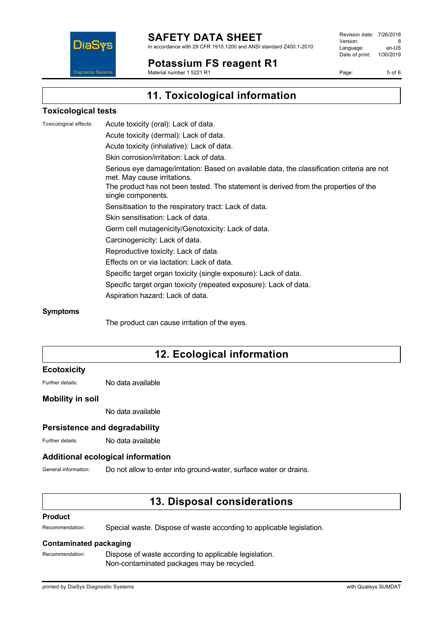

in accordance with 29 CFR 1910.1200 and ANSI standard Z400.1-2010

**Potassium FS reagent R1** Material number 1 5221 R1

Revision date: 7/26/2018 Version: 8<br>Language: en-LIS Language: Date of print: 1/30/2019

Page: 5 of 6

DiaS **Diagnostic Systen** 

# **11. Toxicological information**

### **Toxicological tests**

Toxicological effects: Acute toxicity (oral): Lack of data. Acute toxicity (dermal): Lack of data. Acute toxicity (inhalative): Lack of data. Skin corrosion/irritation: Lack of data. Serious eye damage/irritation: Based on available data, the classification criteria are not met. May cause irritations. The product has not been tested. The statement is derived from the properties of the single components. Sensitisation to the respiratory tract: Lack of data. Skin sensitisation: Lack of data. Germ cell mutagenicity/Genotoxicity: Lack of data. Carcinogenicity: Lack of data. Reproductive toxicity: Lack of data. Effects on or via lactation: Lack of data. Specific target organ toxicity (single exposure): Lack of data. Specific target organ toxicity (repeated exposure): Lack of data. Aspiration hazard: Lack of data.

### **Symptoms**

The product can cause irritation of the eyes.

## **12. Ecological information**

### **Ecotoxicity**

Further details: No data available

### **Mobility in soil**

No data available

### **Persistence and degradability**

Further details: No data available

### **Additional ecological information**

General information: Do not allow to enter into ground-water, surface water or drains.

## **13. Disposal considerations**

### **Product**

Recommendation: Special waste. Dispose of waste according to applicable legislation.

### **Contaminated packaging**

Recommendation: Dispose of waste according to applicable legislation. Non-contaminated packages may be recycled.